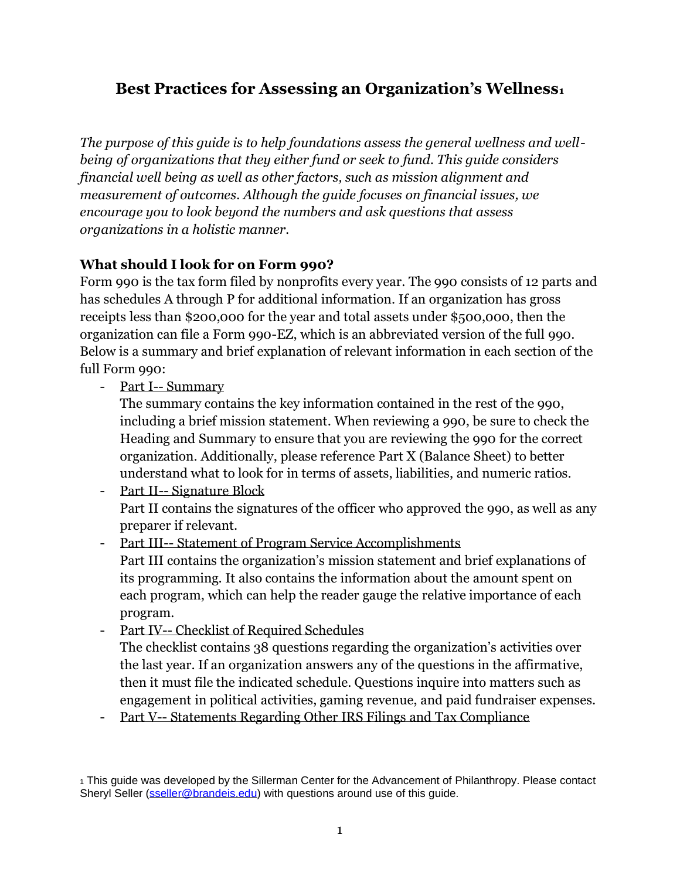# **Best Practices for Assessing an Organization's Wellness<sup>1</sup>**

*The purpose of this guide is to help foundations assess the general wellness and wellbeing of organizations that they either fund or seek to fund. This guide considers financial well being as well as other factors, such as mission alignment and measurement of outcomes. Although the guide focuses on financial issues, we encourage you to look beyond the numbers and ask questions that assess organizations in a holistic manner.*

## **What should I look for on Form 990?**

Form 990 is the tax form filed by nonprofits every year. The 990 consists of 12 parts and has schedules A through P for additional information. If an organization has gross receipts less than \$200,000 for the year and total assets under \$500,000, then the organization can file a Form 990-EZ, which is an abbreviated version of the full 990. Below is a summary and brief explanation of relevant information in each section of the full Form 990:

- Part I-- Summary

The summary contains the key information contained in the rest of the 990, including a brief mission statement. When reviewing a 990, be sure to check the Heading and Summary to ensure that you are reviewing the 990 for the correct organization. Additionally, please reference Part X (Balance Sheet) to better understand what to look for in terms of assets, liabilities, and numeric ratios.

- Part II-- Signature Block Part II contains the signatures of the officer who approved the 990, as well as any preparer if relevant.
- Part III-- Statement of Program Service Accomplishments Part III contains the organization's mission statement and brief explanations of its programming. It also contains the information about the amount spent on each program, which can help the reader gauge the relative importance of each program.
- Part IV-- Checklist of Required Schedules

The checklist contains 38 questions regarding the organization's activities over the last year. If an organization answers any of the questions in the affirmative, then it must file the indicated schedule. Questions inquire into matters such as engagement in political activities, gaming revenue, and paid fundraiser expenses.

- Part V-- Statements Regarding Other IRS Filings and Tax Compliance

<sup>1</sup> This guide was developed by the Sillerman Center for the Advancement of Philanthropy. Please contact Sheryl Seller [\(sseller@brandeis.edu\)](mailto:sseller@brandeis.edu) with questions around use of this guide.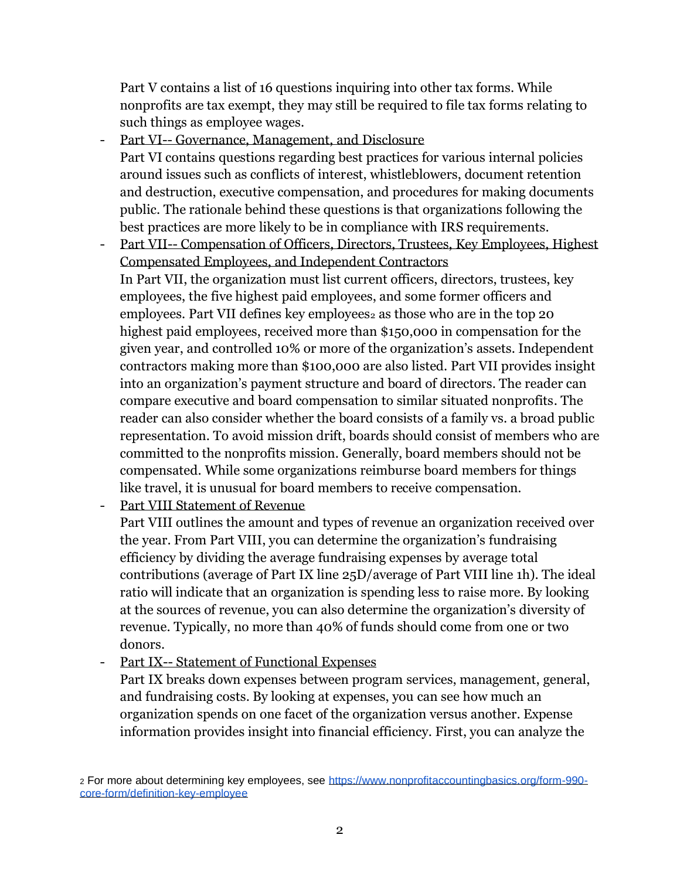Part V contains a list of 16 questions inquiring into other tax forms. While nonprofits are tax exempt, they may still be required to file tax forms relating to such things as employee wages.

- Part VI-- Governance, Management, and Disclosure Part VI contains questions regarding best practices for various internal policies around issues such as conflicts of interest, whistleblowers, document retention and destruction, executive compensation, and procedures for making documents public. The rationale behind these questions is that organizations following the best practices are more likely to be in compliance with IRS requirements.
- Part VII-- Compensation of Officers, Directors, Trustees, Key Employees, Highest Compensated Employees, and Independent Contractors In Part VII, the organization must list current officers, directors, trustees, key employees, the five highest paid employees, and some former officers and

employees. Part VII defines key employees<sub>2</sub> as those who are in the top 20 highest paid employees, received more than \$150,000 in compensation for the given year, and controlled 10% or more of the organization's assets. Independent contractors making more than \$100,000 are also listed. Part VII provides insight into an organization's payment structure and board of directors. The reader can compare executive and board compensation to similar situated nonprofits. The reader can also consider whether the board consists of a family vs. a broad public representation. To avoid mission drift, boards should consist of members who are committed to the nonprofits mission. Generally, board members should not be compensated. While some organizations reimburse board members for things like travel, it is unusual for board members to receive compensation.

Part VIII Statement of Revenue

Part VIII outlines the amount and types of revenue an organization received over the year. From Part VIII, you can determine the organization's fundraising efficiency by dividing the average fundraising expenses by average total contributions (average of Part IX line 25D/average of Part VIII line 1h). The ideal ratio will indicate that an organization is spending less to raise more. By looking at the sources of revenue, you can also determine the organization's diversity of revenue. Typically, no more than 40% of funds should come from one or two donors.

Part IX-- Statement of Functional Expenses

Part IX breaks down expenses between program services, management, general, and fundraising costs. By looking at expenses, you can see how much an organization spends on one facet of the organization versus another. Expense information provides insight into financial efficiency. First, you can analyze the

<sup>2</sup> For more about determining key employees, see [https://www.nonprofitaccountingbasics.org/form-990](https://www.nonprofitaccountingbasics.org/form-990-core-form/definition-key-employee) [core-form/definition-key-employee](https://www.nonprofitaccountingbasics.org/form-990-core-form/definition-key-employee)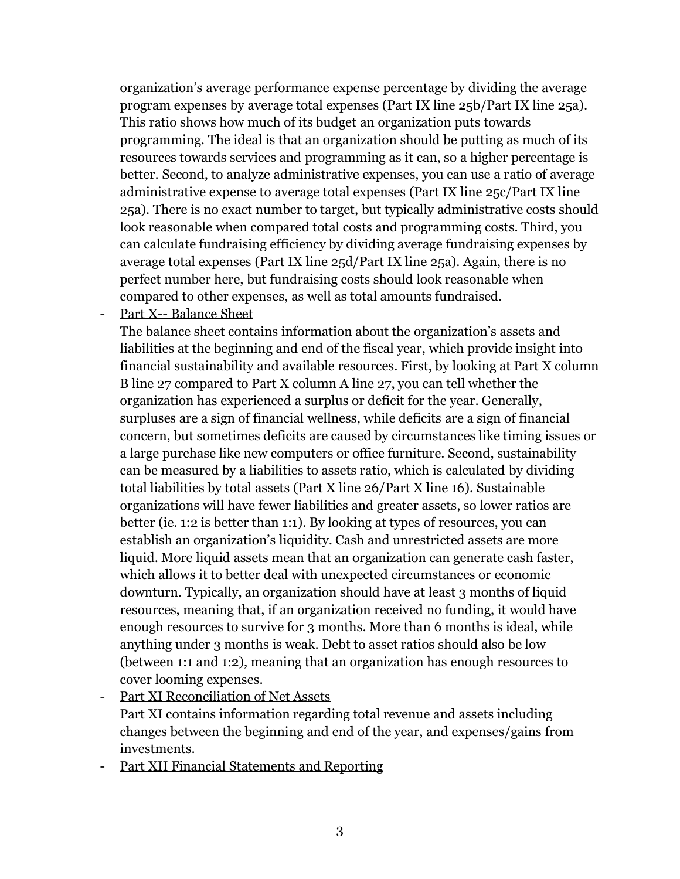organization's average performance expense percentage by dividing the average program expenses by average total expenses (Part IX line 25b/Part IX line 25a). This ratio shows how much of its budget an organization puts towards programming. The ideal is that an organization should be putting as much of its resources towards services and programming as it can, so a higher percentage is better. Second, to analyze administrative expenses, you can use a ratio of average administrative expense to average total expenses (Part IX line 25c/Part IX line 25a). There is no exact number to target, but typically administrative costs should look reasonable when compared total costs and programming costs. Third, you can calculate fundraising efficiency by dividing average fundraising expenses by average total expenses (Part IX line 25d/Part IX line 25a). Again, there is no perfect number here, but fundraising costs should look reasonable when compared to other expenses, as well as total amounts fundraised.

#### Part X-- Balance Sheet

The balance sheet contains information about the organization's assets and liabilities at the beginning and end of the fiscal year, which provide insight into financial sustainability and available resources. First, by looking at Part X column B line 27 compared to Part X column A line 27, you can tell whether the organization has experienced a surplus or deficit for the year. Generally, surpluses are a sign of financial wellness, while deficits are a sign of financial concern, but sometimes deficits are caused by circumstances like timing issues or a large purchase like new computers or office furniture. Second, sustainability can be measured by a liabilities to assets ratio, which is calculated by dividing total liabilities by total assets (Part X line 26/Part X line 16). Sustainable organizations will have fewer liabilities and greater assets, so lower ratios are better (ie. 1:2 is better than 1:1). By looking at types of resources, you can establish an organization's liquidity. Cash and unrestricted assets are more liquid. More liquid assets mean that an organization can generate cash faster, which allows it to better deal with unexpected circumstances or economic downturn. Typically, an organization should have at least 3 months of liquid resources, meaning that, if an organization received no funding, it would have enough resources to survive for 3 months. More than 6 months is ideal, while anything under 3 months is weak. Debt to asset ratios should also be low (between 1:1 and 1:2), meaning that an organization has enough resources to cover looming expenses.

- Part XI Reconciliation of Net Assets Part XI contains information regarding total revenue and assets including changes between the beginning and end of the year, and expenses/gains from investments.
- Part XII Financial Statements and Reporting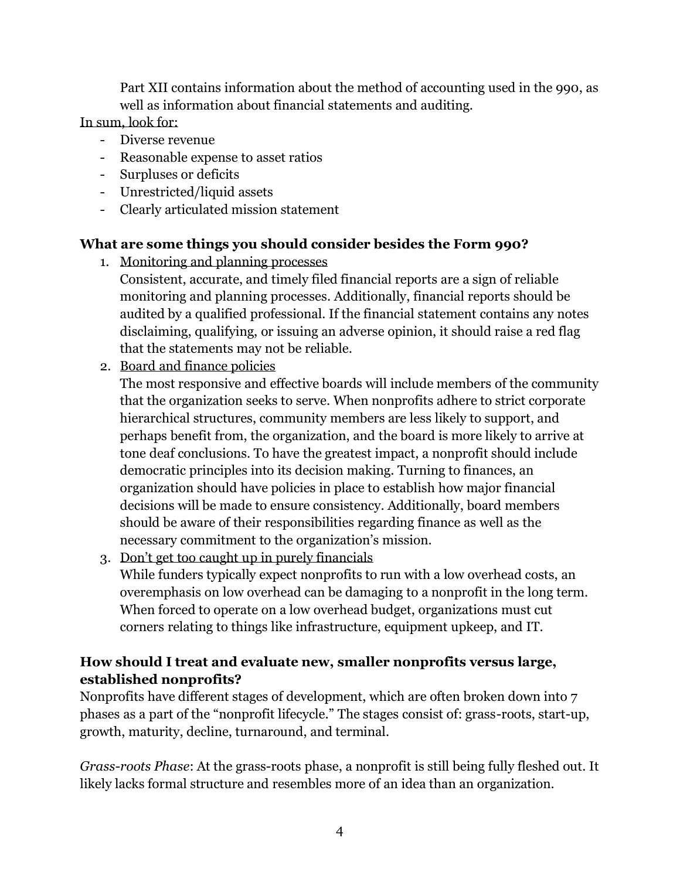Part XII contains information about the method of accounting used in the 990, as well as information about financial statements and auditing.

In sum, look for:

- Diverse revenue
- Reasonable expense to asset ratios
- Surpluses or deficits
- Unrestricted/liquid assets
- Clearly articulated mission statement

## **What are some things you should consider besides the Form 990?**

- 1. Monitoring and planning processes
	- Consistent, accurate, and timely filed financial reports are a sign of reliable monitoring and planning processes. Additionally, financial reports should be audited by a qualified professional. If the financial statement contains any notes disclaiming, qualifying, or issuing an adverse opinion, it should raise a red flag that the statements may not be reliable.
- 2. Board and finance policies

The most responsive and effective boards will include members of the community that the organization seeks to serve. When nonprofits adhere to strict corporate hierarchical structures, community members are less likely to support, and perhaps benefit from, the organization, and the board is more likely to arrive at tone deaf conclusions. To have the greatest impact, a nonprofit should include democratic principles into its decision making. Turning to finances, an organization should have policies in place to establish how major financial decisions will be made to ensure consistency. Additionally, board members should be aware of their responsibilities regarding finance as well as the necessary commitment to the organization's mission.

3. Don't get too caught up in purely financials While funders typically expect nonprofits to run with a low overhead costs, an overemphasis on low overhead can be damaging to a nonprofit in the long term. When forced to operate on a low overhead budget, organizations must cut corners relating to things like infrastructure, equipment upkeep, and IT.

## **How should I treat and evaluate new, smaller nonprofits versus large, established nonprofits?**

Nonprofits have different stages of development, which are often broken down into 7 phases as a part of the "nonprofit lifecycle." The stages consist of: grass-roots, start-up, growth, maturity, decline, turnaround, and terminal.

*Grass-roots Phase*: At the grass-roots phase, a nonprofit is still being fully fleshed out. It likely lacks formal structure and resembles more of an idea than an organization.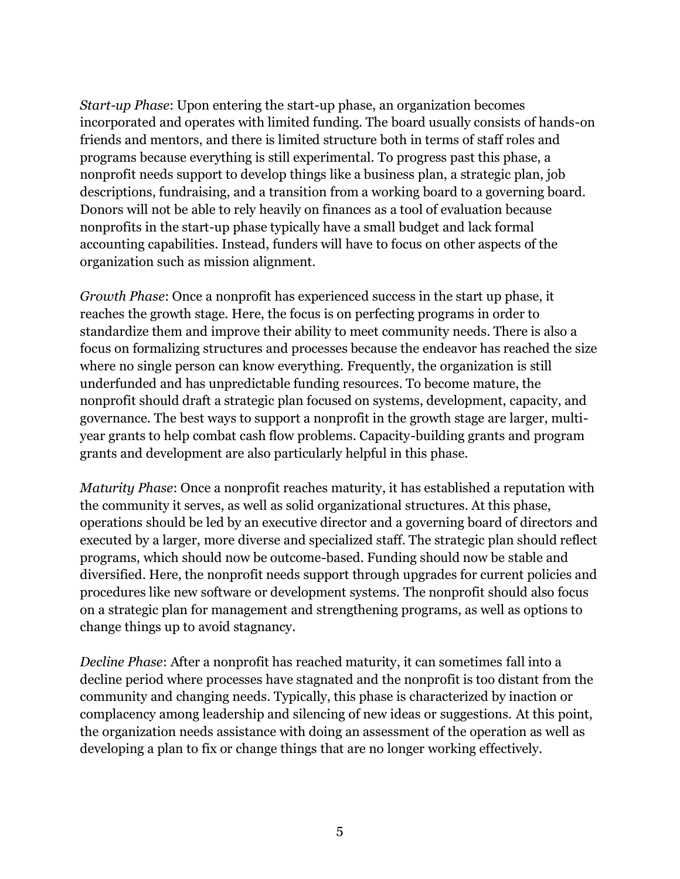*Start-up Phase*: Upon entering the start-up phase, an organization becomes incorporated and operates with limited funding. The board usually consists of hands-on friends and mentors, and there is limited structure both in terms of staff roles and programs because everything is still experimental. To progress past this phase, a nonprofit needs support to develop things like a business plan, a strategic plan, job descriptions, fundraising, and a transition from a working board to a governing board. Donors will not be able to rely heavily on finances as a tool of evaluation because nonprofits in the start-up phase typically have a small budget and lack formal accounting capabilities. Instead, funders will have to focus on other aspects of the organization such as mission alignment.

*Growth Phase*: Once a nonprofit has experienced success in the start up phase, it reaches the growth stage. Here, the focus is on perfecting programs in order to standardize them and improve their ability to meet community needs. There is also a focus on formalizing structures and processes because the endeavor has reached the size where no single person can know everything. Frequently, the organization is still underfunded and has unpredictable funding resources. To become mature, the nonprofit should draft a strategic plan focused on systems, development, capacity, and governance. The best ways to support a nonprofit in the growth stage are larger, multiyear grants to help combat cash flow problems. Capacity-building grants and program grants and development are also particularly helpful in this phase.

*Maturity Phase*: Once a nonprofit reaches maturity, it has established a reputation with the community it serves, as well as solid organizational structures. At this phase, operations should be led by an executive director and a governing board of directors and executed by a larger, more diverse and specialized staff. The strategic plan should reflect programs, which should now be outcome-based. Funding should now be stable and diversified. Here, the nonprofit needs support through upgrades for current policies and procedures like new software or development systems. The nonprofit should also focus on a strategic plan for management and strengthening programs, as well as options to change things up to avoid stagnancy.

*Decline Phase*: After a nonprofit has reached maturity, it can sometimes fall into a decline period where processes have stagnated and the nonprofit is too distant from the community and changing needs. Typically, this phase is characterized by inaction or complacency among leadership and silencing of new ideas or suggestions. At this point, the organization needs assistance with doing an assessment of the operation as well as developing a plan to fix or change things that are no longer working effectively.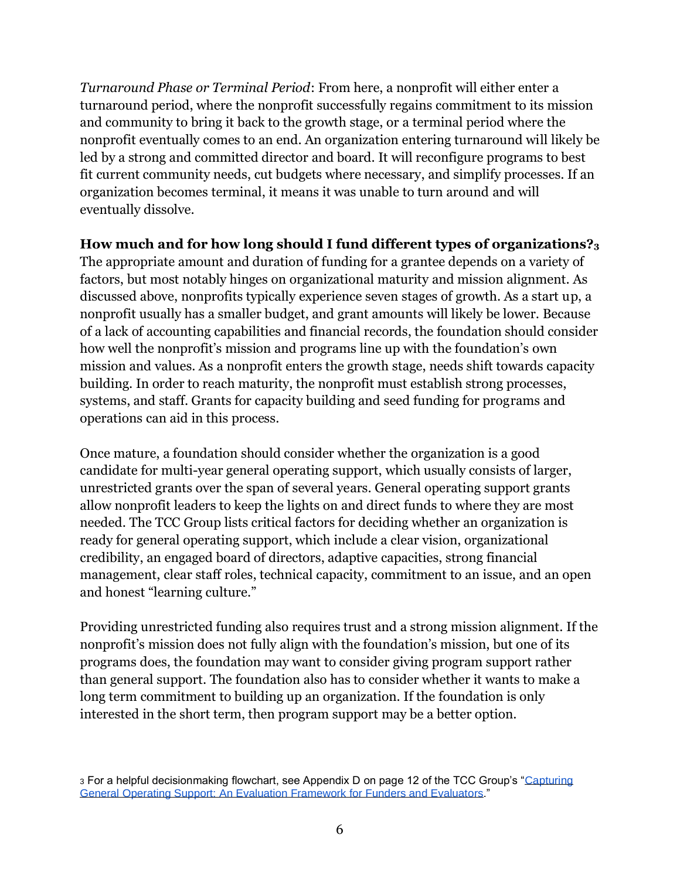*Turnaround Phase or Terminal Period*: From here, a nonprofit will either enter a turnaround period, where the nonprofit successfully regains commitment to its mission and community to bring it back to the growth stage, or a terminal period where the nonprofit eventually comes to an end. An organization entering turnaround will likely be led by a strong and committed director and board. It will reconfigure programs to best fit current community needs, cut budgets where necessary, and simplify processes. If an organization becomes terminal, it means it was unable to turn around and will eventually dissolve.

#### **How much and for how long should I fund different types of organizations?<sup>3</sup>**

The appropriate amount and duration of funding for a grantee depends on a variety of factors, but most notably hinges on organizational maturity and mission alignment. As discussed above, nonprofits typically experience seven stages of growth. As a start up, a nonprofit usually has a smaller budget, and grant amounts will likely be lower. Because of a lack of accounting capabilities and financial records, the foundation should consider how well the nonprofit's mission and programs line up with the foundation's own mission and values. As a nonprofit enters the growth stage, needs shift towards capacity building. In order to reach maturity, the nonprofit must establish strong processes, systems, and staff. Grants for capacity building and seed funding for programs and operations can aid in this process.

Once mature, a foundation should consider whether the organization is a good candidate for multi-year general operating support, which usually consists of larger, unrestricted grants over the span of several years. General operating support grants allow nonprofit leaders to keep the lights on and direct funds to where they are most needed. The TCC Group lists critical factors for deciding whether an organization is ready for general operating support, which include a clear vision, organizational credibility, an engaged board of directors, adaptive capacities, strong financial management, clear staff roles, technical capacity, commitment to an issue, and an open and honest "learning culture."

Providing unrestricted funding also requires trust and a strong mission alignment. If the nonprofit's mission does not fully align with the foundation's mission, but one of its programs does, the foundation may want to consider giving program support rather than general support. The foundation also has to consider whether it wants to make a long term commitment to building up an organization. If the foundation is only interested in the short term, then program support may be a better option.

<sup>3</sup> For a helpful decisionmaking flowchart, see Appendix D on page 12 of the TCC Group's ["Capturing](https://www.tccgrp.com/wp-content/uploads/2018/09/Capturing-General-Operating-Support-Effectiveness_An-Evaluation-Framework-for-Funders-and-Evaluators.pdf)  [General Operating Support: An Evaluation Framework for Funders and Evaluators.](https://www.tccgrp.com/wp-content/uploads/2018/09/Capturing-General-Operating-Support-Effectiveness_An-Evaluation-Framework-for-Funders-and-Evaluators.pdf)"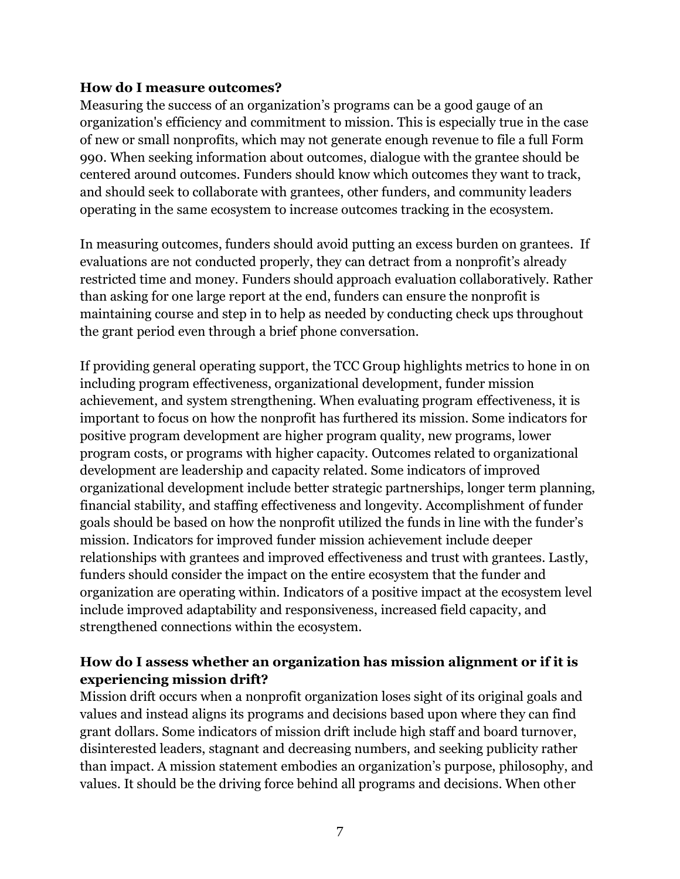#### **How do I measure outcomes?**

Measuring the success of an organization's programs can be a good gauge of an organization's efficiency and commitment to mission. This is especially true in the case of new or small nonprofits, which may not generate enough revenue to file a full Form 990. When seeking information about outcomes, dialogue with the grantee should be centered around outcomes. Funders should know which outcomes they want to track, and should seek to collaborate with grantees, other funders, and community leaders operating in the same ecosystem to increase outcomes tracking in the ecosystem.

In measuring outcomes, funders should avoid putting an excess burden on grantees. If evaluations are not conducted properly, they can detract from a nonprofit's already restricted time and money. Funders should approach evaluation collaboratively. Rather than asking for one large report at the end, funders can ensure the nonprofit is maintaining course and step in to help as needed by conducting check ups throughout the grant period even through a brief phone conversation.

If providing general operating support, the TCC Group highlights metrics to hone in on including program effectiveness, organizational development, funder mission achievement, and system strengthening. When evaluating program effectiveness, it is important to focus on how the nonprofit has furthered its mission. Some indicators for positive program development are higher program quality, new programs, lower program costs, or programs with higher capacity. Outcomes related to organizational development are leadership and capacity related. Some indicators of improved organizational development include better strategic partnerships, longer term planning, financial stability, and staffing effectiveness and longevity. Accomplishment of funder goals should be based on how the nonprofit utilized the funds in line with the funder's mission. Indicators for improved funder mission achievement include deeper relationships with grantees and improved effectiveness and trust with grantees. Lastly, funders should consider the impact on the entire ecosystem that the funder and organization are operating within. Indicators of a positive impact at the ecosystem level include improved adaptability and responsiveness, increased field capacity, and strengthened connections within the ecosystem.

### **How do I assess whether an organization has mission alignment or if it is experiencing mission drift?**

Mission drift occurs when a nonprofit organization loses sight of its original goals and values and instead aligns its programs and decisions based upon where they can find grant dollars. Some indicators of mission drift include high staff and board turnover, disinterested leaders, stagnant and decreasing numbers, and seeking publicity rather than impact. A mission statement embodies an organization's purpose, philosophy, and values. It should be the driving force behind all programs and decisions. When other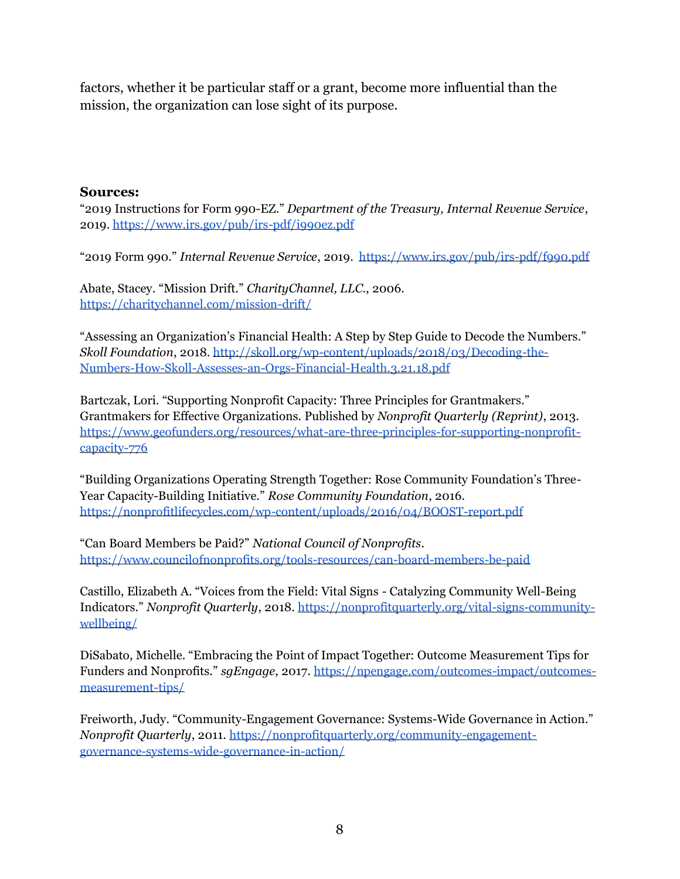factors, whether it be particular staff or a grant, become more influential than the mission, the organization can lose sight of its purpose.

#### **Sources:**

"2019 Instructions for Form 990-EZ." *Department of the Treasury, Internal Revenue Service*, 2019.<https://www.irs.gov/pub/irs-pdf/i990ez.pdf>

"2019 Form 990." *Internal Revenue Service*, 2019. <https://www.irs.gov/pub/irs-pdf/f990.pdf>

Abate, Stacey. "Mission Drift." *CharityChannel, LLC*., 2006. <https://charitychannel.com/mission-drift/>

"Assessing an Organization's Financial Health: A Step by Step Guide to Decode the Numbers." *Skoll Foundation*, 2018[. http://skoll.org/wp-content/uploads/2018/03/Decoding-the-](http://skoll.org/wp-content/uploads/2018/03/Decoding-the-Numbers-How-Skoll-Assesses-an-Orgs-Financial-Health.3.21.18.pdf)[Numbers-How-Skoll-Assesses-an-Orgs-Financial-Health.3.21.18.pdf](http://skoll.org/wp-content/uploads/2018/03/Decoding-the-Numbers-How-Skoll-Assesses-an-Orgs-Financial-Health.3.21.18.pdf)

Bartczak, Lori. "Supporting Nonprofit Capacity: Three Principles for Grantmakers." Grantmakers for Effective Organizations. Published by *Nonprofit Quarterly (Reprint)*, 2013. [https://www.geofunders.org/resources/what-are-three-principles-for-supporting-nonprofit](https://www.geofunders.org/resources/what-are-three-principles-for-supporting-nonprofit-capacity-776)[capacity-776](https://www.geofunders.org/resources/what-are-three-principles-for-supporting-nonprofit-capacity-776)

"Building Organizations Operating Strength Together: Rose Community Foundation's Three-Year Capacity-Building Initiative." *Rose Community Foundation*, 2016. <https://nonprofitlifecycles.com/wp-content/uploads/2016/04/BOOST-report.pdf>

"Can Board Members be Paid?" *National Council of Nonprofits*. <https://www.councilofnonprofits.org/tools-resources/can-board-members-be-paid>

Castillo, Elizabeth A. "Voices from the Field: Vital Signs - Catalyzing Community Well-Being Indicators." *Nonprofit Quarterly*, 2018. [https://nonprofitquarterly.org/vital-signs-community](https://nonprofitquarterly.org/vital-signs-community-wellbeing/)[wellbeing/](https://nonprofitquarterly.org/vital-signs-community-wellbeing/)

DiSabato, Michelle. "Embracing the Point of Impact Together: Outcome Measurement Tips for Funders and Nonprofits." *sgEngage*, 2017. [https://npengage.com/outcomes-impact/outcomes](https://npengage.com/outcomes-impact/outcomes-measurement-tips/)[measurement-tips/](https://npengage.com/outcomes-impact/outcomes-measurement-tips/)

Freiworth, Judy. "Community-Engagement Governance: Systems-Wide Governance in Action." *Nonprofit Quarterly*, 2011. [https://nonprofitquarterly.org/community-engagement](https://nonprofitquarterly.org/community-engagement-governance-systems-wide-governance-in-action/)[governance-systems-wide-governance-in-action/](https://nonprofitquarterly.org/community-engagement-governance-systems-wide-governance-in-action/)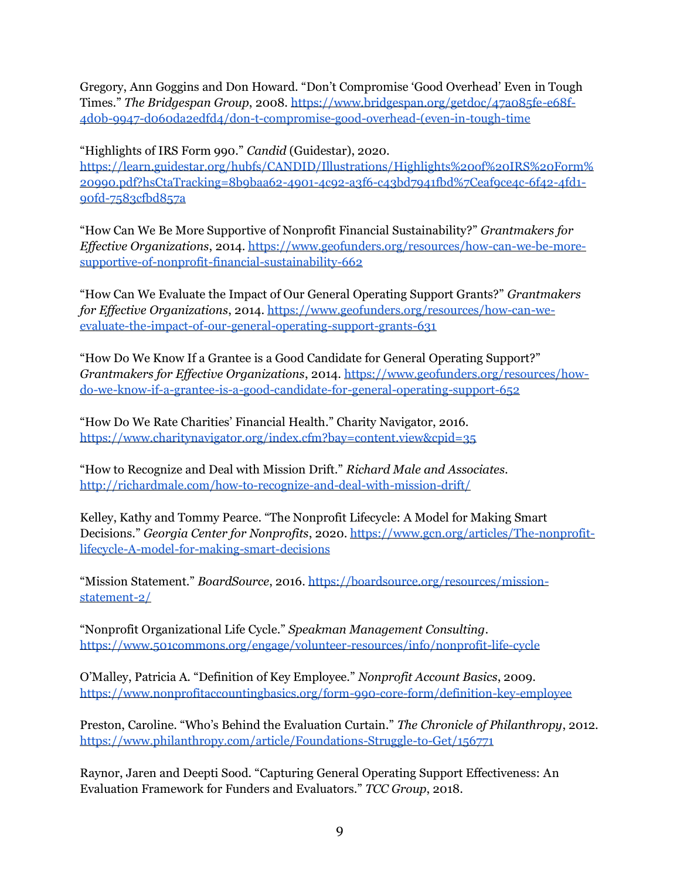Gregory, Ann Goggins and Don Howard. "Don't Compromise 'Good Overhead' Even in Tough Times." *The Bridgespan Group*, 2008[. https://www.bridgespan.org/getdoc/47a085fe-e68f-](https://www.bridgespan.org/getdoc/47a085fe-e68f-4d0b-9947-d060da2edfd4/don-t-compromise-good-overhead-(even-in-tough-time)[4d0b-9947-d060da2edfd4/don-t-compromise-good-overhead-\(even-in-tough-time](https://www.bridgespan.org/getdoc/47a085fe-e68f-4d0b-9947-d060da2edfd4/don-t-compromise-good-overhead-(even-in-tough-time)

"Highlights of IRS Form 990." *Candid* (Guidestar), 2020. [https://learn.guidestar.org/hubfs/CANDID/Illustrations/Highlights%20of%20IRS%20Form%](https://learn.guidestar.org/hubfs/CANDID/Illustrations/Highlights%20of%20IRS%20Form%20990.pdf?hsCtaTracking=8b9baa62-4901-4c92-a3f6-c43bd7941fbd%7Ceaf9ce4c-6f42-4fd1-90fd-7583cfbd857a) [20990.pdf?hsCtaTracking=8b9baa62-4901-4c92-a3f6-c43bd7941fbd%7Ceaf9ce4c-6f42-4fd1-](https://learn.guidestar.org/hubfs/CANDID/Illustrations/Highlights%20of%20IRS%20Form%20990.pdf?hsCtaTracking=8b9baa62-4901-4c92-a3f6-c43bd7941fbd%7Ceaf9ce4c-6f42-4fd1-90fd-7583cfbd857a) [90fd-7583cfbd857a](https://learn.guidestar.org/hubfs/CANDID/Illustrations/Highlights%20of%20IRS%20Form%20990.pdf?hsCtaTracking=8b9baa62-4901-4c92-a3f6-c43bd7941fbd%7Ceaf9ce4c-6f42-4fd1-90fd-7583cfbd857a)

"How Can We Be More Supportive of Nonprofit Financial Sustainability?" *Grantmakers for Effective Organizations*, 2014[. https://www.geofunders.org/resources/how-can-we-be-more](https://www.geofunders.org/resources/how-can-we-be-more-supportive-of-nonprofit-financial-sustainability-662)[supportive-of-nonprofit-financial-sustainability-662](https://www.geofunders.org/resources/how-can-we-be-more-supportive-of-nonprofit-financial-sustainability-662)

"How Can We Evaluate the Impact of Our General Operating Support Grants?" *Grantmakers for Effective Organizations*, 2014[. https://www.geofunders.org/resources/how-can-we](https://www.geofunders.org/resources/how-can-we-evaluate-the-impact-of-our-general-operating-support-grants-631)[evaluate-the-impact-of-our-general-operating-support-grants-631](https://www.geofunders.org/resources/how-can-we-evaluate-the-impact-of-our-general-operating-support-grants-631)

"How Do We Know If a Grantee is a Good Candidate for General Operating Support?" *Grantmakers for Effective Organizations*, 2014. [https://www.geofunders.org/resources/how](https://www.geofunders.org/resources/how-do-we-know-if-a-grantee-is-a-good-candidate-for-general-operating-support-652)[do-we-know-if-a-grantee-is-a-good-candidate-for-general-operating-support-652](https://www.geofunders.org/resources/how-do-we-know-if-a-grantee-is-a-good-candidate-for-general-operating-support-652)

"How Do We Rate Charities' Financial Health." Charity Navigator, 2016. <https://www.charitynavigator.org/index.cfm?bay=content.view&cpid=35>

"How to Recognize and Deal with Mission Drift." *Richard Male and Associates*. <http://richardmale.com/how-to-recognize-and-deal-with-mission-drift/>

Kelley, Kathy and Tommy Pearce. "The Nonprofit Lifecycle: A Model for Making Smart Decisions." *Georgia Center for Nonprofits*, 2020. [https://www.gcn.org/articles/The-nonprofit](https://www.gcn.org/articles/The-nonprofit-lifecycle-A-model-for-making-smart-decisions)[lifecycle-A-model-for-making-smart-decisions](https://www.gcn.org/articles/The-nonprofit-lifecycle-A-model-for-making-smart-decisions)

"Mission Statement." *BoardSource*, 2016[. https://boardsource.org/resources/mission](https://boardsource.org/resources/mission-statement-2/)[statement-2/](https://boardsource.org/resources/mission-statement-2/)

"Nonprofit Organizational Life Cycle." *Speakman Management Consulting*. <https://www.501commons.org/engage/volunteer-resources/info/nonprofit-life-cycle>

O'Malley, Patricia A. "Definition of Key Employee." *Nonprofit Account Basics*, 2009. <https://www.nonprofitaccountingbasics.org/form-990-core-form/definition-key-employee>

Preston, Caroline. "Who's Behind the Evaluation Curtain." *The Chronicle of Philanthropy*, 2012. <https://www.philanthropy.com/article/Foundations-Struggle-to-Get/156771>

Raynor, Jaren and Deepti Sood. "Capturing General Operating Support Effectiveness: An Evaluation Framework for Funders and Evaluators." *TCC Group*, 2018.